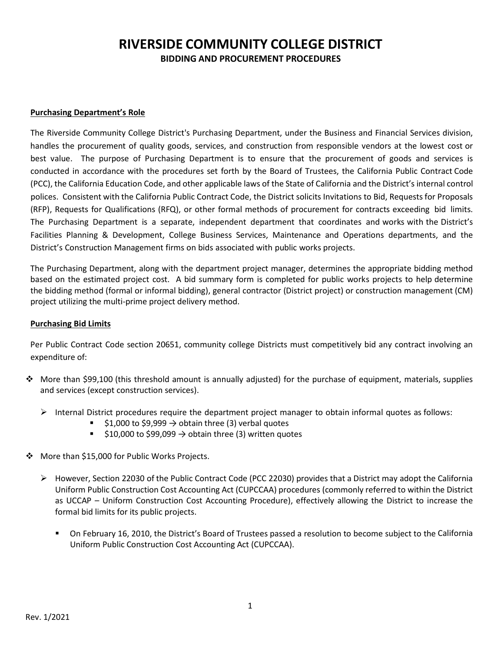# **RIVERSIDE COMMUNITY COLLEGE DISTRICT BIDDING AND PROCUREMENT PROCEDURES**

#### **Purchasing Department's Role**

The Riverside Community College District's Purchasing Department, under the Business and Financial Services division, handles the procurement of quality goods, services, and construction from responsible vendors at the lowest cost or best value. The purpose of Purchasing Department is to ensure that the procurement of goods and services is conducted in accordance with the procedures set forth by the Board of Trustees, the California Public Contract Code (PCC), the California Education Code, and other applicable laws of the State of California and the District's internal control polices. Consistent with the California Public Contract Code, the District solicits Invitations to Bid, Requests for Proposals (RFP), Requests for Qualifications (RFQ), or other formal methods of procurement for contracts exceeding bid limits. The Purchasing Department is a separate, independent department that coordinates and works with the District's Facilities Planning & Development, College Business Services, Maintenance and Operations departments, and the District's Construction Management firms on bids associated with public works projects.

The Purchasing Department, along with the department project manager, determines the appropriate bidding method based on the estimated project cost. A bid summary form is completed for public works projects to help determine the bidding method (formal or informal bidding), general contractor (District project) or construction management (CM) project utilizing the multi-prime project delivery method.

#### **Purchasing Bid Limits**

Per Public Contract Code section 20651, community college Districts must competitively bid any contract involving an expenditure of:

- More than \$99,100 (this threshold amount is annually adjusted) for the purchase of equipment, materials, supplies and services (except construction services).
	- Internal District procedures require the department project manager to obtain informal quotes as follows:
		- $\overline{\phantom{a}}$  \$1,000 to \$9,999  $\rightarrow$  obtain three (3) verbal quotes
		- \$10,000 to \$99,099  $\rightarrow$  obtain three (3) written quotes
- More than \$15,000 for Public Works Projects.
	- $\triangleright$  However, Section 22030 of the Public Contract Code (PCC 22030) provides that a District may adopt the California Uniform Public Construction Cost Accounting Act (CUPCCAA) procedures (commonly referred to within the District as UCCAP – Uniform Construction Cost Accounting Procedure), effectively allowing the District to increase the formal bid limits for its public projects.
		- On February 16, 2010, the District's Board of Trustees passed a resolution to become subject to the California Uniform Public Construction Cost Accounting Act (CUPCCAA).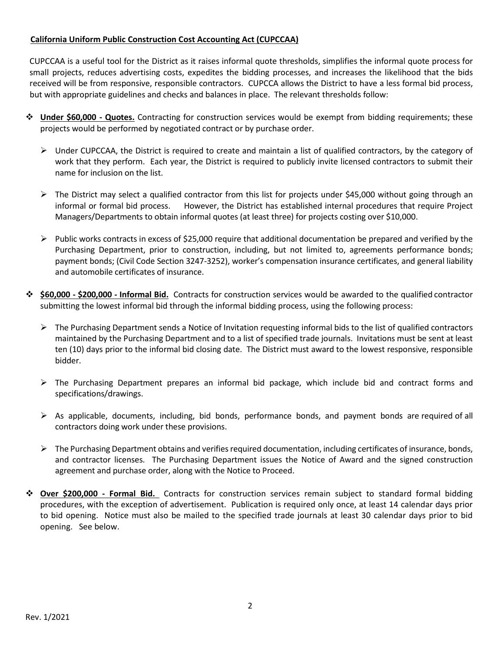# **California Uniform Public Construction Cost Accounting Act (CUPCCAA)**

CUPCCAA is a useful tool for the District as it raises informal quote thresholds, simplifies the informal quote process for small projects, reduces advertising costs, expedites the bidding processes, and increases the likelihood that the bids received will be from responsive, responsible contractors. CUPCCA allows the District to have a less formal bid process, but with appropriate guidelines and checks and balances in place. The relevant thresholds follow:

- **Under \$60,000 - Quotes.** Contracting for construction services would be exempt from bidding requirements; these projects would be performed by negotiated contract or by purchase order.
	- $\triangleright$  Under CUPCCAA, the District is required to create and maintain a list of qualified contractors, by the category of work that they perform. Each year, the District is required to publicly invite licensed contractors to submit their name for inclusion on the list.
	- $\triangleright$  The District may select a qualified contractor from this list for projects under \$45,000 without going through an informal or formal bid process. However, the District has established internal procedures that require Project Managers/Departments to obtain informal quotes (at least three) for projects costing over \$10,000.
	- $\triangleright$  Public works contracts in excess of \$25,000 require that additional documentation be prepared and verified by the Purchasing Department, prior to construction, including, but not limited to, agreements performance bonds; payment bonds; (Civil Code Section 3247-3252), worker's compensation insurance certificates, and general liability and automobile certificates of insurance.
- **\$60,000 - \$200,000 - Informal Bid.** Contracts for construction services would be awarded to the qualified contractor submitting the lowest informal bid through the informal bidding process, using the following process:
	- $\triangleright$  The Purchasing Department sends a Notice of Invitation requesting informal bids to the list of qualified contractors maintained by the Purchasing Department and to a list of specified trade journals. Invitations must be sent at least ten (10) days prior to the informal bid closing date. The District must award to the lowest responsive, responsible bidder.
	- $\triangleright$  The Purchasing Department prepares an informal bid package, which include bid and contract forms and specifications/drawings.
	- $\triangleright$  As applicable, documents, including, bid bonds, performance bonds, and payment bonds are required of all contractors doing work under these provisions.
	- $\triangleright$  The Purchasing Department obtains and verifies required documentation, including certificates of insurance, bonds, and contractor licenses. The Purchasing Department issues the Notice of Award and the signed construction agreement and purchase order, along with the Notice to Proceed.
- **Over \$200,000 - Formal Bid.** Contracts for construction services remain subject to standard formal bidding procedures, with the exception of advertisement. Publication is required only once, at least 14 calendar days prior to bid opening. Notice must also be mailed to the specified trade journals at least 30 calendar days prior to bid opening. See below.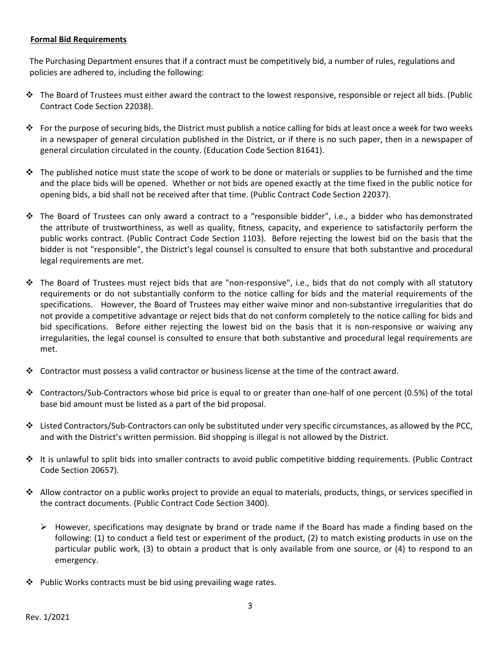## **Formal Bid Requirements**

The Purchasing Department ensures that if a contract must be competitively bid, a number of rules, regulations and policies are adhered to, including the following:

- $\clubsuit$  The Board of Trustees must either award the contract to the lowest responsive, responsible or reject all bids. (Public Contract Code Section 22038).
- For the purpose of securing bids, the District must publish a notice calling for bids at least once a week for two weeks in a newspaper of general circulation published in the District, or if there is no such paper, then in a newspaper of general circulation circulated in the county. (Education Code Section 81641).
- $\cdot \cdot$  The published notice must state the scope of work to be done or materials or supplies to be furnished and the time and the place bids will be opened. Whether or not bids are opened exactly at the time fixed in the public notice for opening bids, a bid shall not be received after that time. (Public Contract Code Section 22037).
- The Board of Trustees can only award a contract to a "responsible bidder", i.e., a bidder who has demonstrated the attribute of trustworthiness, as well as quality, fitness, capacity, and experience to satisfactorily perform the public works contract. (Public Contract Code Section 1103). Before rejecting the lowest bid on the basis that the bidder is not "responsible", the District's legal counsel is consulted to ensure that both substantive and procedural legal requirements are met.
- The Board of Trustees must reject bids that are "non-responsive", i.e., bids that do not comply with all statutory requirements or do not substantially conform to the notice calling for bids and the material requirements of the specifications. However, the Board of Trustees may either waive minor and non-substantive irregularities that do not provide a competitive advantage or reject bids that do not conform completely to the notice calling for bids and bid specifications. Before either rejecting the lowest bid on the basis that it is non-responsive or waiving any irregularities, the legal counsel is consulted to ensure that both substantive and procedural legal requirements are met.
- Contractor must possess a valid contractor or business license at the time of the contract award.
- Contractors/Sub-Contractors whose bid price is equal to or greater than one-half of one percent (0.5%) of the total base bid amount must be listed as a part of the bid proposal.
- Listed Contractors/Sub-Contractors can only be substituted under very specific circumstances, as allowed by the PCC, and with the District's written permission. Bid shopping is illegal is not allowed by the District.
- $\cdot \cdot$  It is unlawful to split bids into smaller contracts to avoid public competitive bidding requirements. (Public Contract Code Section 20657).
- $\clubsuit$  Allow contractor on a public works project to provide an equal to materials, products, things, or services specified in the contract documents. (Public Contract Code Section 3400).
	- $\triangleright$  However, specifications may designate by brand or trade name if the Board has made a finding based on the following: (1) to conduct a field test or experiment of the product, (2) to match existing products in use on the particular public work, (3) to obtain a product that is only available from one source, or (4) to respond to an emergency.
- $\cdot$  Public Works contracts must be bid using prevailing wage rates.